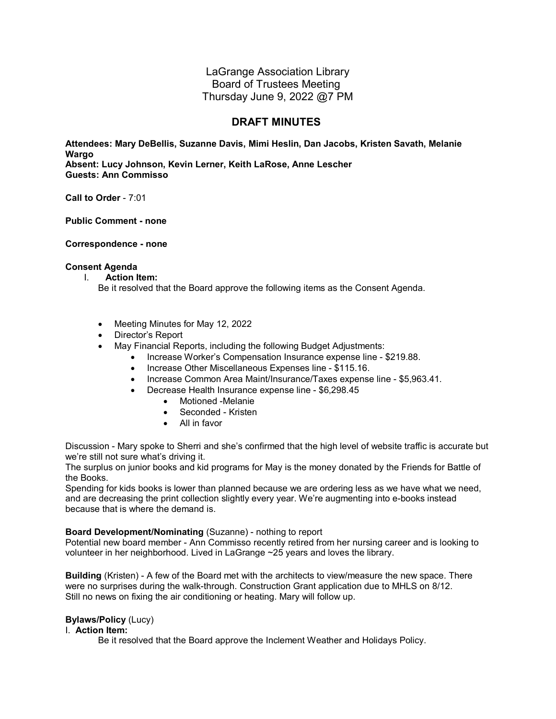LaGrange Association Library Board of Trustees Meeting Thursday June 9, 2022 @7 PM

# **DRAFT MINUTES**

**Attendees: Mary DeBellis, Suzanne Davis, Mimi Heslin, Dan Jacobs, Kristen Savath, Melanie Wargo Absent: Lucy Johnson, Kevin Lerner, Keith LaRose, Anne Lescher Guests: Ann Commisso**

**Call to Order** - 7:01

**Public Comment - none**

**Correspondence - none**

#### **Consent Agenda**

I. **Action Item:** 

Be it resolved that the Board approve the following items as the Consent Agenda.

- Meeting Minutes for May 12, 2022
- Director's Report
- May Financial Reports, including the following Budget Adjustments:
	- Increase Worker's Compensation Insurance expense line \$219.88.
		- Increase Other Miscellaneous Expenses line \$115.16.
		- Increase Common Area Maint/Insurance/Taxes expense line \$5,963.41.
			- Decrease Health Insurance expense line \$6,298.45
				- Motioned -Melanie
				- Seconded Kristen
				- All in favor

Discussion - Mary spoke to Sherri and she's confirmed that the high level of website traffic is accurate but we're still not sure what's driving it.

The surplus on junior books and kid programs for May is the money donated by the Friends for Battle of the Books.

Spending for kids books is lower than planned because we are ordering less as we have what we need, and are decreasing the print collection slightly every year. We're augmenting into e-books instead because that is where the demand is.

#### **Board Development/Nominating** (Suzanne) - nothing to report

Potential new board member - Ann Commisso recently retired from her nursing career and is looking to volunteer in her neighborhood. Lived in LaGrange ~25 years and loves the library.

**Building** (Kristen) - A few of the Board met with the architects to view/measure the new space. There were no surprises during the walk-through. Construction Grant application due to MHLS on 8/12. Still no news on fixing the air conditioning or heating. Mary will follow up.

# **Bylaws/Policy** (Lucy)

#### I. **Action Item:**

Be it resolved that the Board approve the Inclement Weather and Holidays Policy.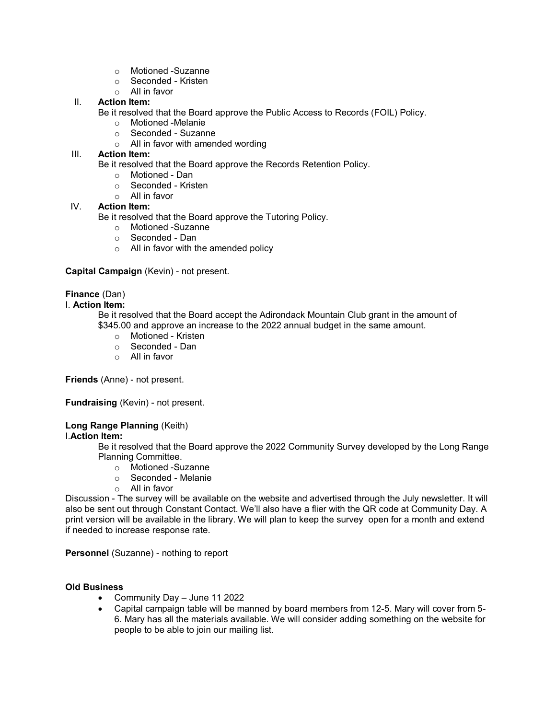- o Motioned -Suzanne
- o Seconded Kristen
- o All in favor

# II. **Action Item:**

Be it resolved that the Board approve the Public Access to Records (FOIL) Policy.

- o Motioned -Melanie
- $\circ$  Seconded Suzanne<br> $\circ$  All in favor with amene
- All in favor with amended wording

### III. **Action Item:**

Be it resolved that the Board approve the Records Retention Policy.

- o Motioned Dan<br>○ Seconded Krisi
- Seconded Kristen
- o All in favor

# IV. **Action Item:**

Be it resolved that the Board approve the Tutoring Policy.

- o Motioned -Suzanne
- o Seconded Dan
- o All in favor with the amended policy

# **Capital Campaign** (Kevin) - not present.

# **Finance** (Dan)

#### I. **Action Item:**

Be it resolved that the Board accept the Adirondack Mountain Club grant in the amount of \$345.00 and approve an increase to the 2022 annual budget in the same amount.

- o Motioned Kristen
- o Seconded Dan
- o All in favor

**Friends** (Anne) - not present.

**Fundraising** (Kevin) - not present.

# **Long Range Planning** (Keith)

#### I.**Action Item:**

Be it resolved that the Board approve the 2022 Community Survey developed by the Long Range Planning Committee.

- o Motioned -Suzanne
- o Seconded Melanie
- o All in favor

Discussion - The survey will be available on the website and advertised through the July newsletter. It will also be sent out through Constant Contact. We'll also have a flier with the QR code at Community Day. A print version will be available in the library. We will plan to keep the survey open for a month and extend if needed to increase response rate.

**Personnel** (Suzanne) - nothing to report

# **Old Business**

- Community Day June 11 2022
- Capital campaign table will be manned by board members from 12-5. Mary will cover from 5- 6. Mary has all the materials available. We will consider adding something on the website for people to be able to join our mailing list.